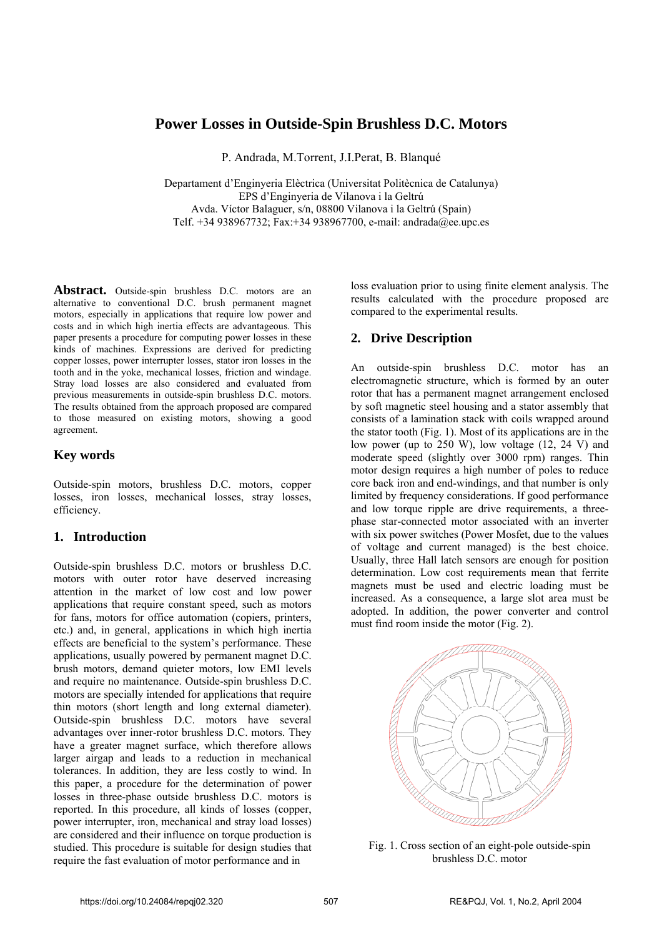# **Power Losses in Outside-Spin Brushless D.C. Motors**

P. Andrada, M.Torrent, J.I.Perat, B. Blanqué

Departament d'Enginyeria Elèctrica (Universitat Politècnica de Catalunya) EPS d'Enginyeria de Vilanova i la Geltrú Avda. Víctor Balaguer, s/n, 08800 Vilanova i la Geltrú (Spain) Telf. +34 938967732; Fax:+34 938967700, e-mail: andrada@ee.upc.es

Abstract. Outside-spin brushless D.C. motors are an alternative to conventional D.C. brush permanent magnet motors, especially in applications that require low power and costs and in which high inertia effects are advantageous. This paper presents a procedure for computing power losses in these kinds of machines. Expressions are derived for predicting copper losses, power interrupter losses, stator iron losses in the tooth and in the yoke, mechanical losses, friction and windage. Stray load losses are also considered and evaluated from previous measurements in outside-spin brushless D.C. motors. The results obtained from the approach proposed are compared to those measured on existing motors, showing a good agreement.

## **Key words**

Outside-spin motors, brushless D.C. motors, copper losses, iron losses, mechanical losses, stray losses, efficiency.

## **1. Introduction**

Outside-spin brushless D.C. motors or brushless D.C. motors with outer rotor have deserved increasing attention in the market of low cost and low power applications that require constant speed, such as motors for fans, motors for office automation (copiers, printers, etc.) and, in general, applications in which high inertia effects are beneficial to the system's performance. These applications, usually powered by permanent magnet D.C. brush motors, demand quieter motors, low EMI levels and require no maintenance. Outside-spin brushless D.C. motors are specially intended for applications that require thin motors (short length and long external diameter). Outside-spin brushless D.C. motors have several advantages over inner-rotor brushless D.C. motors. They have a greater magnet surface, which therefore allows larger airgap and leads to a reduction in mechanical tolerances. In addition, they are less costly to wind. In this paper, a procedure for the determination of power losses in three-phase outside brushless D.C. motors is reported. In this procedure, all kinds of losses (copper, power interrupter, iron, mechanical and stray load losses) are considered and their influence on torque production is studied. This procedure is suitable for design studies that require the fast evaluation of motor performance and in

loss evaluation prior to using finite element analysis. The results calculated with the procedure proposed are compared to the experimental results.

## **2. Drive Description**

An outside-spin brushless D.C. motor has an electromagnetic structure, which is formed by an outer rotor that has a permanent magnet arrangement enclosed by soft magnetic steel housing and a stator assembly that consists of a lamination stack with coils wrapped around the stator tooth (Fig. 1). Most of its applications are in the low power (up to 250 W), low voltage (12, 24 V) and moderate speed (slightly over 3000 rpm) ranges. Thin motor design requires a high number of poles to reduce core back iron and end-windings, and that number is only limited by frequency considerations. If good performance and low torque ripple are drive requirements, a threephase star-connected motor associated with an inverter with six power switches (Power Mosfet, due to the values of voltage and current managed) is the best choice. Usually, three Hall latch sensors are enough for position determination. Low cost requirements mean that ferrite magnets must be used and electric loading must be increased. As a consequence, a large slot area must be adopted. In addition, the power converter and control must find room inside the motor (Fig. 2).



Fig. 1. Cross section of an eight-pole outside-spin brushless D.C. motor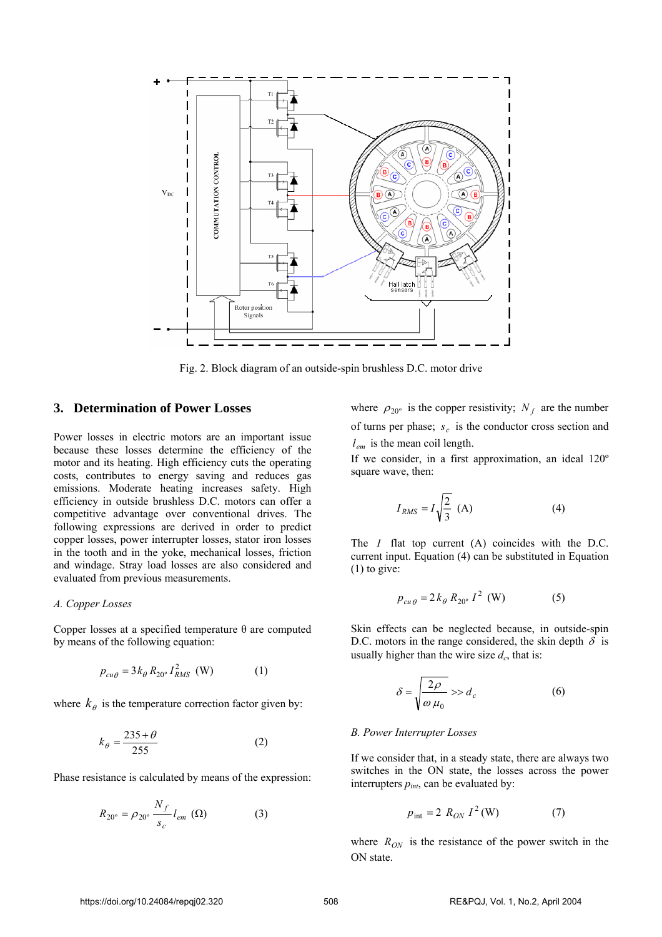

Fig. 2. Block diagram of an outside-spin brushless D.C. motor drive

## **3. Determination of Power Losses**

Power losses in electric motors are an important issue because these losses determine the efficiency of the motor and its heating. High efficiency cuts the operating costs, contributes to energy saving and reduces gas emissions. Moderate heating increases safety. High efficiency in outside brushless D.C. motors can offer a competitive advantage over conventional drives. The following expressions are derived in order to predict copper losses, power interrupter losses, stator iron losses in the tooth and in the yoke, mechanical losses, friction and windage. Stray load losses are also considered and evaluated from previous measurements.

### *A. Copper Losses*

Copper losses at a specified temperature θ are computed by means of the following equation:

$$
p_{cu\theta} = 3k_{\theta} R_{20^{\circ}} I_{RMS}^{2}
$$
 (W) (1)

where  $k_{\theta}$  is the temperature correction factor given by:

$$
k_{\theta} = \frac{235 + \theta}{255} \tag{2}
$$

Phase resistance is calculated by means of the expression:

$$
R_{20^{\circ}} = \rho_{20^{\circ}} \frac{N_f}{s_c} l_{em} \text{ } (\Omega) \tag{3}
$$

where  $\rho_{20^{\circ}}$  is the copper resistivity;  $N_f$  are the number of turns per phase;  $s_c$  is the conductor cross section and *lem* is the mean coil length.

If we consider, in a first approximation, an ideal 120º square wave, then:

$$
I_{RMS} = I \sqrt{\frac{2}{3}} \text{ (A)}
$$
 (4)

The *I* flat top current (A) coincides with the D.C. current input. Equation (4) can be substituted in Equation (1) to give:

$$
p_{cu\theta} = 2k_{\theta} R_{20^{\circ}} I^2 \text{ (W)} \tag{5}
$$

Skin effects can be neglected because, in outside-spin D.C. motors in the range considered, the skin depth  $\delta$  is usually higher than the wire size  $d_c$ , that is:

$$
\delta = \sqrt{\frac{2\rho}{\omega \mu_0}} \gg d_c \tag{6}
$$

#### *B. Power Interrupter Losses*

If we consider that, in a steady state, there are always two switches in the ON state, the losses across the power interrupters  $p_{int}$ , can be evaluated by:

$$
p_{\text{int}} = 2 R_{ON} I^2(\text{W}) \tag{7}
$$

where  $R_{ON}$  is the resistance of the power switch in the ON state.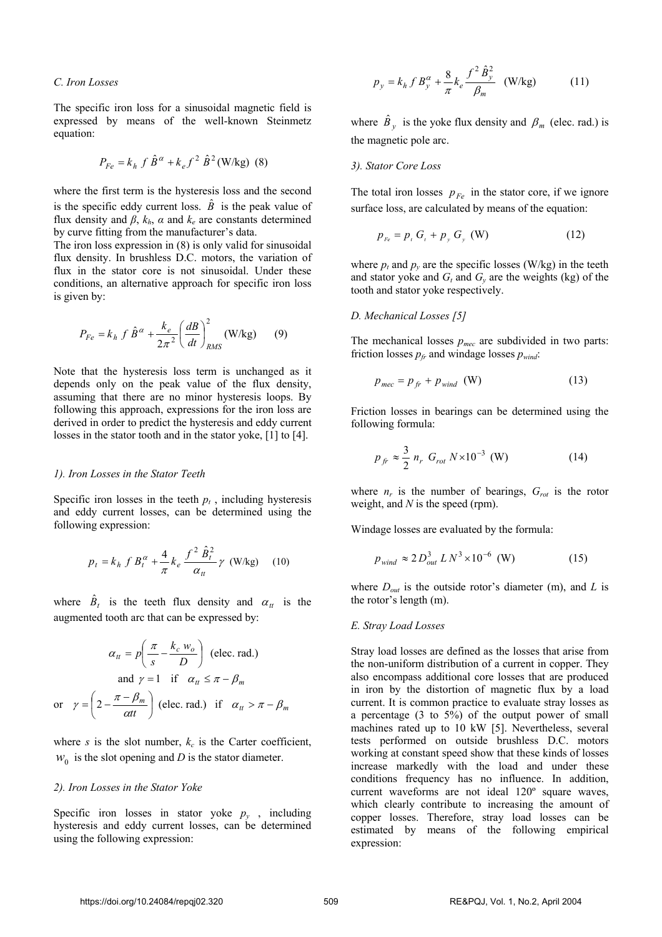*C. Iron Losses* 

The specific iron loss for a sinusoidal magnetic field is expressed by means of the well-known Steinmetz equation:

$$
P_{Fe} = k_h f \hat{B}^{\alpha} + k_e f^2 \hat{B}^2 (\text{W/kg}) \text{ (8)}
$$

where the first term is the hysteresis loss and the second is the specific eddy current loss.  $\hat{B}$  is the peak value of flux density and  $\beta$ ,  $k_h$ ,  $\alpha$  and  $k_e$  are constants determined by curve fitting from the manufacturer's data.

The iron loss expression in (8) is only valid for sinusoidal flux density. In brushless D.C. motors, the variation of flux in the stator core is not sinusoidal. Under these conditions, an alternative approach for specific iron loss is given by:

$$
P_{Fe} = k_h \int \hat{B}^\alpha + \frac{k_e}{2\pi^2} \left(\frac{dB}{dt}\right)_{RMS}^2 \text{(W/kg)} \qquad (9)
$$

Note that the hysteresis loss term is unchanged as it depends only on the peak value of the flux density, assuming that there are no minor hysteresis loops. By following this approach, expressions for the iron loss are derived in order to predict the hysteresis and eddy current losses in the stator tooth and in the stator yoke, [1] to [4].

#### *1). Iron Losses in the Stator Teeth*

Specific iron losses in the teeth  $p_t$ , including hysteresis and eddy current losses, can be determined using the following expression:

$$
p_{t} = k_{h} f B_{t}^{\alpha} + \frac{4}{\pi} k_{e} \frac{f^{2} \hat{B}_{t}^{2}}{\alpha_{t}} \gamma \text{ (W/kg)} \quad (10)
$$

where  $\hat{B}_t$  is the teeth flux density and  $\alpha_t$  is the augmented tooth arc that can be expressed by:

$$
\alpha_{tt} = p \left( \frac{\pi}{s} - \frac{k_c w_o}{D} \right) \text{ (elec. rad.)}
$$
  
and  $\gamma = 1$  if  $\alpha_{tt} \le \pi - \beta_m$   
or  $\gamma = \left( 2 - \frac{\pi - \beta_m}{\alpha t t} \right) \text{ (elec. rad.) if } \alpha_{tt} > \pi - \beta_m$ 

where *s* is the slot number,  $k_c$  is the Carter coefficient,  $w_0$  is the slot opening and *D* is the stator diameter.

#### *2). Iron Losses in the Stator Yoke*

Specific iron losses in stator yoke  $p_y$ , including hysteresis and eddy current losses, can be determined using the following expression:

$$
p_{y} = k_{h} f B_{y}^{\alpha} + \frac{8}{\pi} k_{e} \frac{f^{2} \hat{B}_{y}^{2}}{\beta_{m}} \quad \text{(W/kg)} \tag{11}
$$

where  $\hat{B}_y$  is the yoke flux density and  $\beta_m$  (elec. rad.) is the magnetic pole arc.

### *3). Stator Core Loss*

The total iron losses  $p_{Fe}$  in the stator core, if we ignore surface loss, are calculated by means of the equation:

$$
p_{Fe} = p_{t} G_{t} + p_{y} G_{y} \text{ (W)} \tag{12}
$$

where  $p_t$  and  $p_y$  are the specific losses (W/kg) in the teeth and stator yoke and  $G_t$  and  $G_y$  are the weights (kg) of the tooth and stator yoke respectively.

#### *D. Mechanical Losses [5]*

The mechanical losses *pmec* are subdivided in two parts: friction losses  $p_f$  and windage losses  $p_{wind}$ .

$$
p_{mec} = p_{fr} + p_{wind} \quad (W)
$$
 (13)

Friction losses in bearings can be determined using the following formula:

$$
p_{fr} \approx \frac{3}{2} n_r G_{rot} N \times 10^{-3} \text{ (W)}
$$
 (14)

where  $n_r$  is the number of bearings,  $G_{rot}$  is the rotor weight, and *N* is the speed (rpm).

Windage losses are evaluated by the formula:

$$
p_{wind} \approx 2 D_{out}^3 L N^3 \times 10^{-6} \text{ (W)} \tag{15}
$$

where  $D_{out}$  is the outside rotor's diameter (m), and *L* is the rotor's length (m).

### *E. Stray Load Losses*

Stray load losses are defined as the losses that arise from the non-uniform distribution of a current in copper. They also encompass additional core losses that are produced in iron by the distortion of magnetic flux by a load current. It is common practice to evaluate stray losses as a percentage (3 to 5%) of the output power of small machines rated up to 10 kW [5]. Nevertheless, several tests performed on outside brushless D.C. motors working at constant speed show that these kinds of losses increase markedly with the load and under these conditions frequency has no influence. In addition, current waveforms are not ideal 120º square waves, which clearly contribute to increasing the amount of copper losses. Therefore, stray load losses can be estimated by means of the following empirical expression: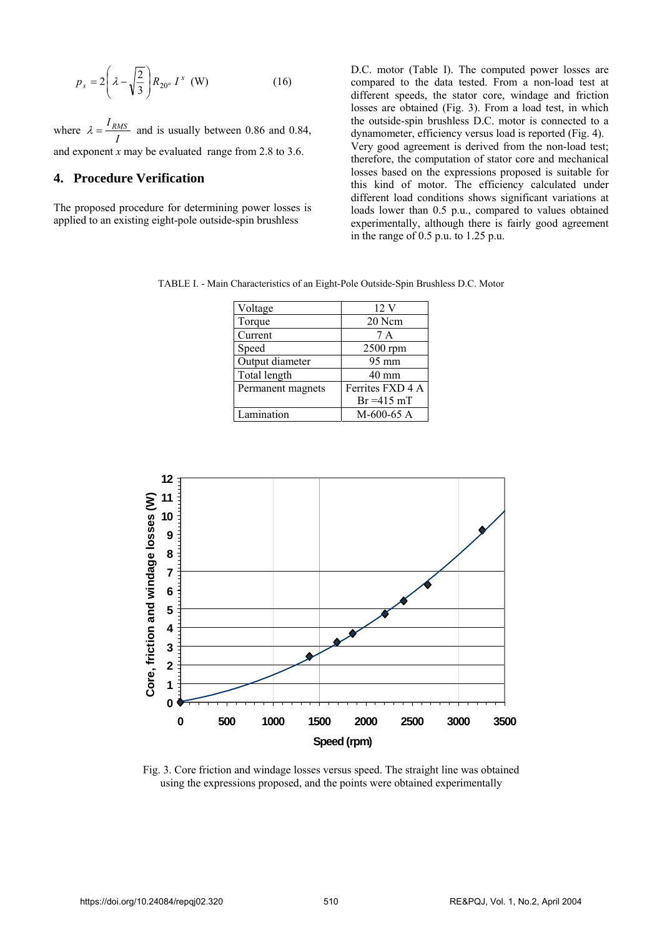$$
p_s = 2\left(\lambda - \sqrt{\frac{2}{3}}\right) R_{20^\circ} I^x \text{ (W)}\tag{16}
$$

where  $\lambda = \frac{I_{RMS}}{I}$  and is usually between 0.86 and 0.84, and exponent *x* may be evaluated range from 2.8 to 3.6.

# **4. Procedure Verification**

The proposed procedure for determining power losses is applied to an existing eight-pole outside-spin brushless

D.C. motor (Table I). The computed power losses are compared to the data tested. From a non-load test at different speeds, the stator core, windage and friction losses are obtained (Fig. 3). From a load test, in which the outside-spin brushless D.C. motor is connected to a dynamometer, efficiency versus load is reported (Fig. 4). Very good agreement is derived from the non-load test; therefore, the computation of stator core and mechanical losses based on the expressions proposed is suitable for this kind of motor. The efficiency calculated under different load conditions shows significant variations at loads lower than 0.5 p.u., compared to values obtained experimentally, although there is fairly good agreement in the range of 0.5 p.u. to 1.25 p.u.

TABLE I. - Main Characteristics of an Eight-Pole Outside-Spin Brushless D.C. Motor

| Voltage           | 12V              |
|-------------------|------------------|
| Torque            | 20 Ncm           |
| Current           | 7 A              |
| Speed             | 2500 rpm         |
| Output diameter   | $95 \text{ mm}$  |
| Total length      | $40 \text{ mm}$  |
| Permanent magnets | Ferrites FXD 4 A |
|                   | $Br = 415 mT$    |
| Lamination        | $M-600-65$ A     |



Fig. 3. Core friction and windage losses versus speed. The straight line was obtained using the expressions proposed, and the points were obtained experimentally